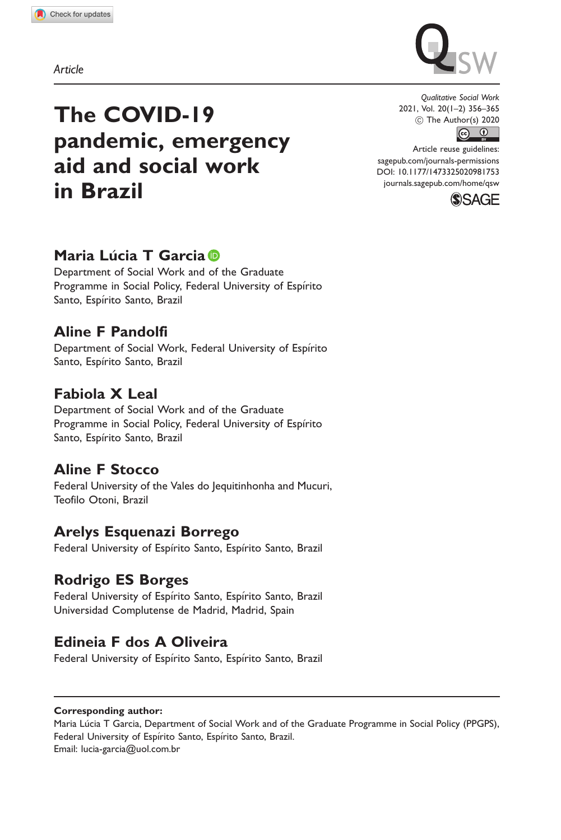Article



# The COVID-19 pandemic, emergency aid and social work in Brazil

Qualitative Social Work 2021, Vol. 20(1–2) 356–365  $\frac{1}{\sqrt{1+\frac{1}{\sqrt{1+\frac{1}{\sqrt{1+\frac{1}{\sqrt{1+\frac{1}{\sqrt{1+\frac{1}{\sqrt{1+\frac{1}{\sqrt{1+\frac{1}{\sqrt{1+\frac{1}{\sqrt{1+\frac{1}{\sqrt{1+\frac{1}{\sqrt{1+\frac{1}{\sqrt{1+\frac{1}{\sqrt{1+\frac{1}{\sqrt{1+\frac{1}{\sqrt{1+\frac{1}{\sqrt{1+\frac{1}{\sqrt{1+\frac{1}{\sqrt{1+\frac{1}{\sqrt{1+\frac{1}{\sqrt{1+\frac{1}{\sqrt{1+\frac{1}{\sqrt{1+\frac{1}{\sqrt{1+\frac{1}{\sqrt{1+\frac{1$ 

Article reuse guidelines: [sagepub.com/journals-permissions](http://uk.sagepub.com/en-gb/journals-permissions) [DOI: 10.1177/1473325020981753](http://dx.doi.org/10.1177/1473325020981753) <journals.sagepub.com/home/qsw>



# Maria Lúcia T Garcia **D**

Department of Social Work and of the Graduate Programme in Social Policy, Federal University of Espírito Santo, Espírito Santo, Brazil

## Aline F Pandolfi

Department of Social Work, Federal University of Espírito Santo, Espírito Santo, Brazil

# Fabiola X Leal

Department of Social Work and of the Graduate Programme in Social Policy, Federal University of Espírito Santo, Espírito Santo, Brazil

# Aline F Stocco

Federal University of the Vales do Jequitinhonha and Mucuri, Teofilo Otoni, Brazil

## Arelys Esquenazi Borrego

Federal University of Espírito Santo, Espírito Santo, Brazil

## Rodrigo ES Borges

Federal University of Espírito Santo, Espírito Santo, Brazil Universidad Complutense de Madrid, Madrid, Spain

# Edineia F dos A Oliveira

Federal University of Espírito Santo, Espírito Santo, Brazil

#### Corresponding author:

Maria Lucia T Garcia, Department of Social Work and of the Graduate Programme in Social Policy (PPGPS), Federal University of Espírito Santo, Espírito Santo, Brazil. Email: [lucia-garcia@uol.com.br](mailto:lucia-garcia@uol.com.br)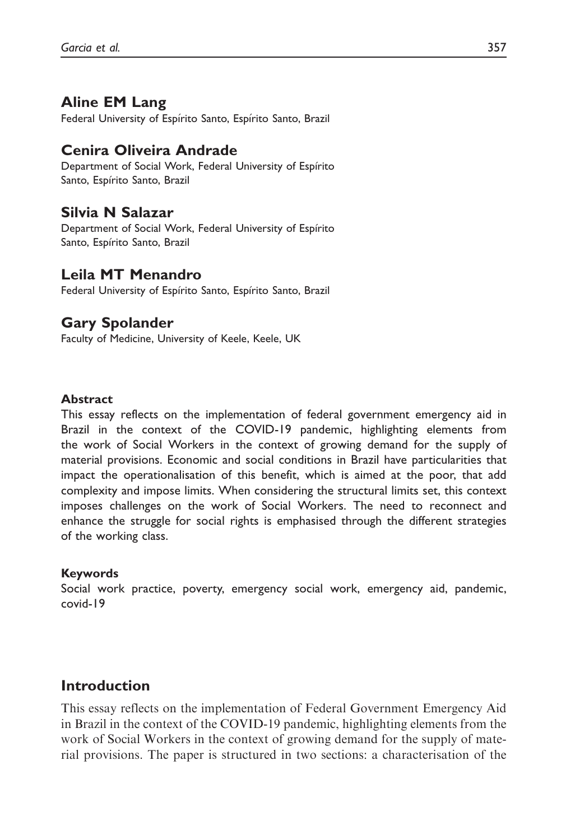## Aline EM Lang

Federal University of Espírito Santo, Espírito Santo, Brazil

## Cenira Oliveira Andrade

Department of Social Work, Federal University of Espírito Santo, Espírito Santo, Brazil

#### Silvia N Salazar

Department of Social Work, Federal University of Espírito Santo, Espírito Santo, Brazil

## Leila MT Menandro

Federal University of Espírito Santo, Espírito Santo, Brazil

## Gary Spolander

Faculty of Medicine, University of Keele, Keele, UK

#### Abstract

This essay reflects on the implementation of federal government emergency aid in Brazil in the context of the COVID-19 pandemic, highlighting elements from the work of Social Workers in the context of growing demand for the supply of material provisions. Economic and social conditions in Brazil have particularities that impact the operationalisation of this benefit, which is aimed at the poor, that add complexity and impose limits. When considering the structural limits set, this context imposes challenges on the work of Social Workers. The need to reconnect and enhance the struggle for social rights is emphasised through the different strategies of the working class.

#### Keywords

Social work practice, poverty, emergency social work, emergency aid, pandemic, covid-19

## Introduction

This essay reflects on the implementation of Federal Government Emergency Aid in Brazil in the context of the COVID-19 pandemic, highlighting elements from the work of Social Workers in the context of growing demand for the supply of material provisions. The paper is structured in two sections: a characterisation of the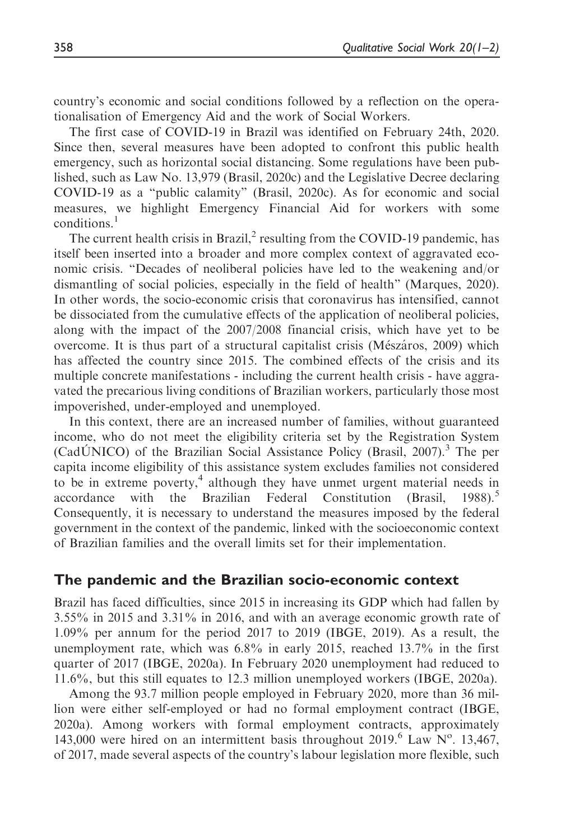country's economic and social conditions followed by a reflection on the operationalisation of Emergency Aid and the work of Social Workers.

The first case of COVID-19 in Brazil was identified on February 24th, 2020. Since then, several measures have been adopted to confront this public health emergency, such as horizontal social distancing. Some regulations have been published, such as Law No. 13,979 (Brasil, 2020c) and the Legislative Decree declaring COVID-19 as a "public calamity" (Brasil, 2020c). As for economic and social measures, we highlight Emergency Financial Aid for workers with some conditions.<sup>1</sup>

The current health crisis in Brazil, $2$  resulting from the COVID-19 pandemic, has itself been inserted into a broader and more complex context of aggravated economic crisis. "Decades of neoliberal policies have led to the weakening and/or dismantling of social policies, especially in the field of health" (Marques, 2020). In other words, the socio-economic crisis that coronavirus has intensified, cannot be dissociated from the cumulative effects of the application of neoliberal policies, along with the impact of the 2007/2008 financial crisis, which have yet to be overcome. It is thus part of a structural capitalist crisis (Mészáros, 2009) which has affected the country since 2015. The combined effects of the crisis and its multiple concrete manifestations - including the current health crisis - have aggravated the precarious living conditions of Brazilian workers, particularly those most impoverished, under-employed and unemployed.

In this context, there are an increased number of families, without guaranteed income, who do not meet the eligibility criteria set by the Registration System (CadUNICO) of the Brazilian Social Assistance Policy (Brasil, 2007).<sup>3</sup> The per capita income eligibility of this assistance system excludes families not considered to be in extreme poverty,<sup>4</sup> although they have unmet urgent material needs in accordance with the Brazilian Federal Constitution (Brasil,  $1988$ ).<sup>5</sup> Consequently, it is necessary to understand the measures imposed by the federal government in the context of the pandemic, linked with the socioeconomic context of Brazilian families and the overall limits set for their implementation.

### The pandemic and the Brazilian socio-economic context

Brazil has faced difficulties, since 2015 in increasing its GDP which had fallen by 3.55% in 2015 and 3.31% in 2016, and with an average economic growth rate of 1.09% per annum for the period 2017 to 2019 (IBGE, 2019). As a result, the unemployment rate, which was 6.8% in early 2015, reached 13.7% in the first quarter of 2017 (IBGE, 2020a). In February 2020 unemployment had reduced to 11.6%, but this still equates to 12.3 million unemployed workers (IBGE, 2020a).

Among the 93.7 million people employed in February 2020, more than 36 million were either self-employed or had no formal employment contract (IBGE, 2020a). Among workers with formal employment contracts, approximately 143,000 were hired on an intermittent basis throughout 2019.<sup>6</sup> Law  $N^{\circ}$ . 13,467, of 2017, made several aspects of the country's labour legislation more flexible, such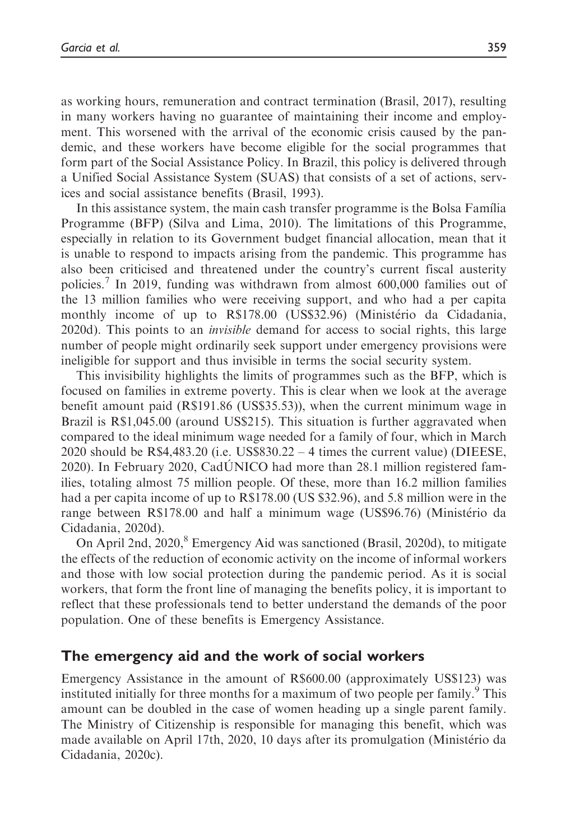as working hours, remuneration and contract termination (Brasil, 2017), resulting in many workers having no guarantee of maintaining their income and employment. This worsened with the arrival of the economic crisis caused by the pandemic, and these workers have become eligible for the social programmes that form part of the Social Assistance Policy. In Brazil, this policy is delivered through a Unified Social Assistance System (SUAS) that consists of a set of actions, services and social assistance benefits (Brasil, 1993).

In this assistance system, the main cash transfer programme is the Bolsa Famılia Programme (BFP) (Silva and Lima, 2010). The limitations of this Programme, especially in relation to its Government budget financial allocation, mean that it is unable to respond to impacts arising from the pandemic. This programme has also been criticised and threatened under the country's current fiscal austerity policies.<sup>7</sup> In 2019, funding was withdrawn from almost 600,000 families out of the 13 million families who were receiving support, and who had a per capita monthly income of up to R\$178.00 (US\$32.96) (Ministerio da Cidadania, 2020d). This points to an invisible demand for access to social rights, this large number of people might ordinarily seek support under emergency provisions were ineligible for support and thus invisible in terms the social security system.

This invisibility highlights the limits of programmes such as the BFP, which is focused on families in extreme poverty. This is clear when we look at the average benefit amount paid (R\$191.86 (US\$35.53)), when the current minimum wage in Brazil is R\$1,045.00 (around US\$215). This situation is further aggravated when compared to the ideal minimum wage needed for a family of four, which in March 2020 should be R\$4,483.20 (i.e. US\$830.22 – 4 times the current value) (DIEESE, 2020). In February 2020, CadUNICO had more than 28.1 million registered fam ilies, totaling almost 75 million people. Of these, more than 16.2 million families had a per capita income of up to R\$178.00 (US \$32.96), and 5.8 million were in the range between R\$178.00 and half a minimum wage (US\$96.76) (Ministerio da Cidadania, 2020d).

On April 2nd, 2020,<sup>8</sup> Emergency Aid was sanctioned (Brasil, 2020d), to mitigate the effects of the reduction of economic activity on the income of informal workers and those with low social protection during the pandemic period. As it is social workers, that form the front line of managing the benefits policy, it is important to reflect that these professionals tend to better understand the demands of the poor population. One of these benefits is Emergency Assistance.

#### The emergency aid and the work of social workers

Emergency Assistance in the amount of R\$600.00 (approximately US\$123) was instituted initially for three months for a maximum of two people per family.<sup>9</sup> This amount can be doubled in the case of women heading up a single parent family. The Ministry of Citizenship is responsible for managing this benefit, which was made available on April 17th, 2020, 10 days after its promulgation (Ministerio da Cidadania, 2020c).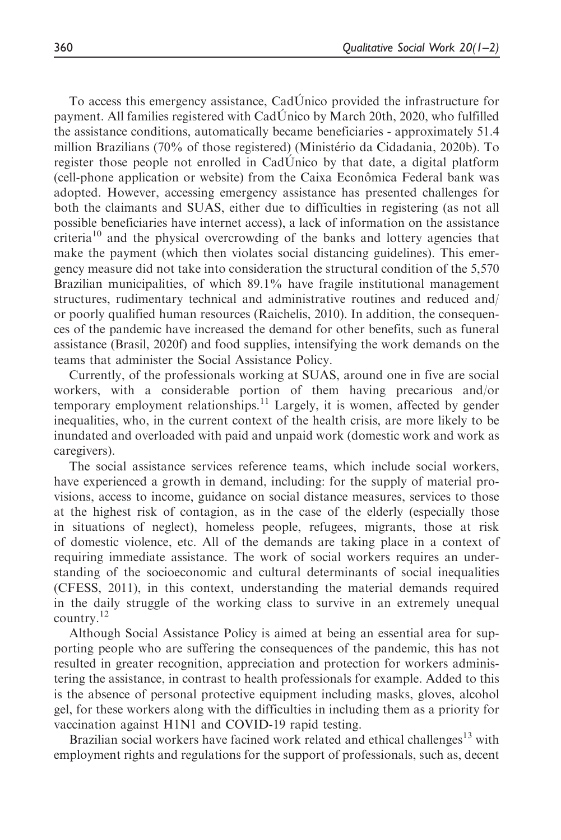To access this emergency assistance, CadUnico provided the infrastructure for payment. All families registered with CadUnico by March 20th, 2020, who fulfilled the assistance conditions, automatically became beneficiaries - approximately 51.4 million Brazilians (70% of those registered) (Ministerio da Cidadania, 2020b). To register those people not enrolled in CadUnico by that date, a digital platform (cell-phone application or website) from the Caixa Econômica Federal bank was adopted. However, accessing emergency assistance has presented challenges for both the claimants and SUAS, either due to difficulties in registering (as not all possible beneficiaries have internet access), a lack of information on the assistance criteria<sup>10</sup> and the physical overcrowding of the banks and lottery agencies that make the payment (which then violates social distancing guidelines). This emergency measure did not take into consideration the structural condition of the 5,570 Brazilian municipalities, of which 89.1% have fragile institutional management structures, rudimentary technical and administrative routines and reduced and/ or poorly qualified human resources (Raichelis, 2010). In addition, the consequences of the pandemic have increased the demand for other benefits, such as funeral assistance (Brasil, 2020f) and food supplies, intensifying the work demands on the teams that administer the Social Assistance Policy.

Currently, of the professionals working at SUAS, around one in five are social workers, with a considerable portion of them having precarious and/or temporary employment relationships.<sup>11</sup> Largely, it is women, affected by gender inequalities, who, in the current context of the health crisis, are more likely to be inundated and overloaded with paid and unpaid work (domestic work and work as caregivers).

The social assistance services reference teams, which include social workers, have experienced a growth in demand, including: for the supply of material provisions, access to income, guidance on social distance measures, services to those at the highest risk of contagion, as in the case of the elderly (especially those in situations of neglect), homeless people, refugees, migrants, those at risk of domestic violence, etc. All of the demands are taking place in a context of requiring immediate assistance. The work of social workers requires an understanding of the socioeconomic and cultural determinants of social inequalities (CFESS, 2011), in this context, understanding the material demands required in the daily struggle of the working class to survive in an extremely unequal country.<sup>12</sup>

Although Social Assistance Policy is aimed at being an essential area for supporting people who are suffering the consequences of the pandemic, this has not resulted in greater recognition, appreciation and protection for workers administering the assistance, in contrast to health professionals for example. Added to this is the absence of personal protective equipment including masks, gloves, alcohol gel, for these workers along with the difficulties in including them as a priority for vaccination against H1N1 and COVID-19 rapid testing.

Brazilian social workers have facined work related and ethical challenges<sup>13</sup> with employment rights and regulations for the support of professionals, such as, decent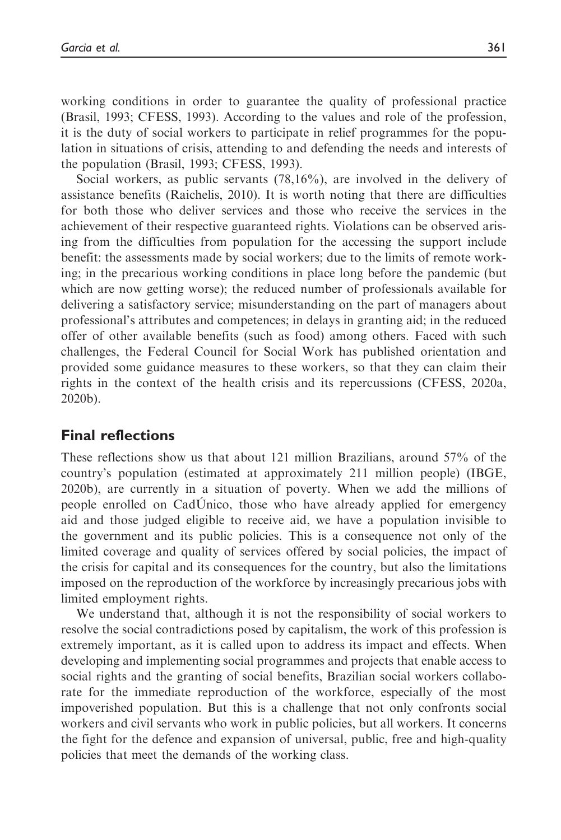working conditions in order to guarantee the quality of professional practice (Brasil, 1993; CFESS, 1993). According to the values and role of the profession, it is the duty of social workers to participate in relief programmes for the population in situations of crisis, attending to and defending the needs and interests of the population (Brasil, 1993; CFESS, 1993).

Social workers, as public servants (78,16%), are involved in the delivery of assistance benefits (Raichelis, 2010). It is worth noting that there are difficulties for both those who deliver services and those who receive the services in the achievement of their respective guaranteed rights. Violations can be observed arising from the difficulties from population for the accessing the support include benefit: the assessments made by social workers; due to the limits of remote working; in the precarious working conditions in place long before the pandemic (but which are now getting worse); the reduced number of professionals available for delivering a satisfactory service; misunderstanding on the part of managers about professional's attributes and competences; in delays in granting aid; in the reduced offer of other available benefits (such as food) among others. Faced with such challenges, the Federal Council for Social Work has published orientation and provided some guidance measures to these workers, so that they can claim their rights in the context of the health crisis and its repercussions (CFESS, 2020a, 2020b).

#### Final reflections

These reflections show us that about 121 million Brazilians, around 57% of the country's population (estimated at approximately 211 million people) (IBGE, 2020b), are currently in a situation of poverty. When we add the millions of people enrolled on CadUnico, those who have already applied for emergency aid and those judged eligible to receive aid, we have a population invisible to the government and its public policies. This is a consequence not only of the limited coverage and quality of services offered by social policies, the impact of the crisis for capital and its consequences for the country, but also the limitations imposed on the reproduction of the workforce by increasingly precarious jobs with limited employment rights.

We understand that, although it is not the responsibility of social workers to resolve the social contradictions posed by capitalism, the work of this profession is extremely important, as it is called upon to address its impact and effects. When developing and implementing social programmes and projects that enable access to social rights and the granting of social benefits, Brazilian social workers collaborate for the immediate reproduction of the workforce, especially of the most impoverished population. But this is a challenge that not only confronts social workers and civil servants who work in public policies, but all workers. It concerns the fight for the defence and expansion of universal, public, free and high-quality policies that meet the demands of the working class.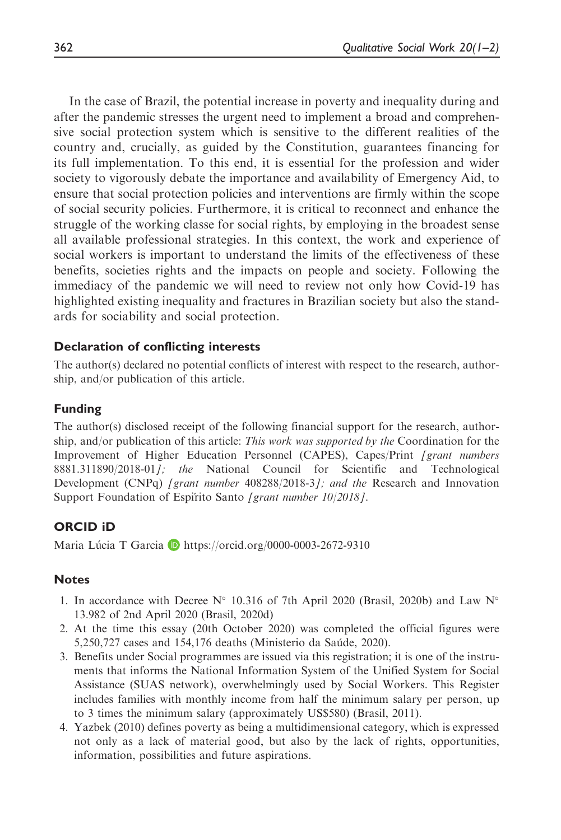In the case of Brazil, the potential increase in poverty and inequality during and after the pandemic stresses the urgent need to implement a broad and comprehensive social protection system which is sensitive to the different realities of the country and, crucially, as guided by the Constitution, guarantees financing for its full implementation. To this end, it is essential for the profession and wider society to vigorously debate the importance and availability of Emergency Aid, to ensure that social protection policies and interventions are firmly within the scope of social security policies. Furthermore, it is critical to reconnect and enhance the struggle of the working classe for social rights, by employing in the broadest sense all available professional strategies. In this context, the work and experience of social workers is important to understand the limits of the effectiveness of these benefits, societies rights and the impacts on people and society. Following the immediacy of the pandemic we will need to review not only how Covid-19 has highlighted existing inequality and fractures in Brazilian society but also the standards for sociability and social protection.

#### Declaration of conflicting interests

The author(s) declared no potential conflicts of interest with respect to the research, authorship, and/or publication of this article.

#### Funding

The author(s) disclosed receipt of the following financial support for the research, authorship, and/or publication of this article: This work was supported by the Coordination for the Improvement of Higher Education Personnel (CAPES), Capes/Print [grant numbers 8881.311890/2018-01]; the National Council for Scientific and Technological Development (CNPq) [grant number 408288/2018-3]; and the Research and Innovation Support Foundation of Espirito Santo [grant number 10/2018].

#### ORCID iD

Maria Lúcia T Garcia **D** <https://orcid.org/0000-0003-2672-9310>

#### **Notes**

- 1. In accordance with Decree N° 10.316 of 7th April 2020 (Brasil, 2020b) and Law N° 13.982 of 2nd April 2020 (Brasil, 2020d)
- 2. At the time this essay (20th October 2020) was completed the official figures were 5,250,727 cases and 154,176 deaths (Ministerio da Saude, 2020).
- 3. Benefits under Social programmes are issued via this registration; it is one of the instruments that informs the National Information System of the Unified System for Social Assistance (SUAS network), overwhelmingly used by Social Workers. This Register includes families with monthly income from half the minimum salary per person, up to 3 times the minimum salary (approximately US\$580) (Brasil, 2011).
- 4. Yazbek (2010) defines poverty as being a multidimensional category, which is expressed not only as a lack of material good, but also by the lack of rights, opportunities, information, possibilities and future aspirations.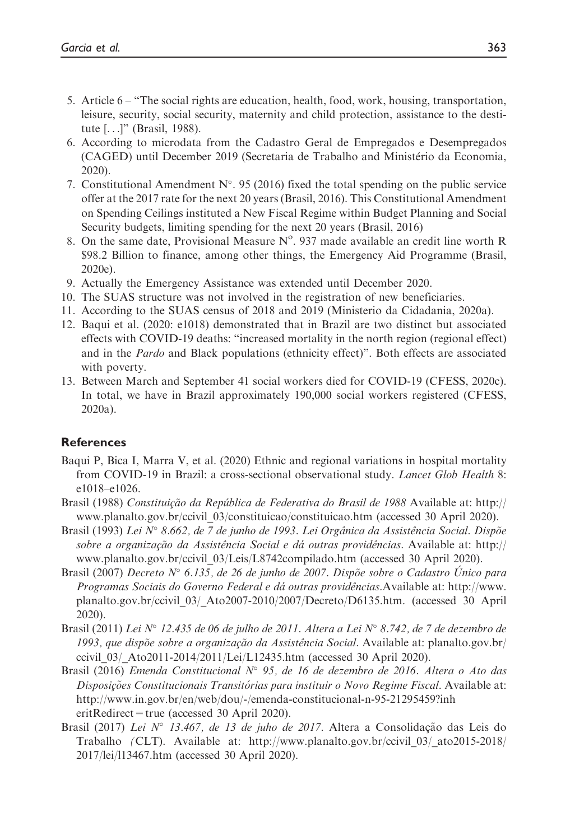- 5. Article 6 "The social rights are education, health, food, work, housing, transportation, leisure, security, social security, maternity and child protection, assistance to the destitute [...]" (Brasil, 1988).
- 6. According to microdata from the Cadastro Geral de Empregados e Desempregados (CAGED) until December 2019 (Secretaria de Trabalho and Ministerio da Economia, 2020).
- 7. Constitutional Amendment  $N^{\circ}$ . 95 (2016) fixed the total spending on the public service offer at the 2017 rate for the next 20 years (Brasil, 2016). This Constitutional Amendment on Spending Ceilings instituted a New Fiscal Regime within Budget Planning and Social Security budgets, limiting spending for the next 20 years (Brasil, 2016)
- 8. On the same date, Provisional Measure  $N<sup>o</sup>$ . 937 made available an credit line worth R \$98.2 Billion to finance, among other things, the Emergency Aid Programme (Brasil, 2020e).
- 9. Actually the Emergency Assistance was extended until December 2020.
- 10. The SUAS structure was not involved in the registration of new beneficiaries.
- 11. According to the SUAS census of 2018 and 2019 (Ministerio da Cidadania, 2020a).
- 12. Baqui et al. (2020: e1018) demonstrated that in Brazil are two distinct but associated effects with COVID-19 deaths: "increased mortality in the north region (regional effect) and in the *Pardo* and Black populations (ethnicity effect)". Both effects are associated with poverty.
- 13. Between March and September 41 social workers died for COVID-19 (CFESS, 2020c). In total, we have in Brazil approximately 190,000 social workers registered (CFESS, 2020a).

#### **References**

- Baqui P, Bica I, Marra V, et al. (2020) Ethnic and regional variations in hospital mortality from COVID-19 in Brazil: a cross-sectional observational study. Lancet Glob Health 8: e1018–e1026.
- Brasil (1988) Constituição da República de Federativa do Brasil de 1988 Available at: [http://](http://www.planalto.gov.br/ccivil_03/constituicao/constituicao.htm) [www.planalto.gov.br/ccivil\\_03/constituicao/constituicao.htm](http://www.planalto.gov.br/ccivil_03/constituicao/constituicao.htm) (accessed 30 April 2020).
- Brasil (1993) Lei N° 8.662, de 7 de junho de 1993. Lei Orgânica da Assistência Social. Dispõe sobre a organização da Assistência Social e dá outras providências. Available at: [http://](http://www.planalto.gov.br/ccivil_03/Leis/L8742compilado.htm) [www.planalto.gov.br/ccivil\\_03/Leis/L8742compilado.htm](http://www.planalto.gov.br/ccivil_03/Leis/L8742compilado.htm) (accessed 30 April 2020).
- Brasil (2007) Decreto  $N^{\circ}$  6.135, de 26 de junho de 2007. Dispõe sobre o Cadastro Único para Programas Sociais do Governo Federal e dá outras providências. Available at: [http://www.](http://www.planalto.gov.br/ccivil_03/_Ato2007-2010/2007/Decreto/D6135.htm) [planalto.gov.br/ccivil\\_03/\\_Ato2007-2010/2007/Decreto/D6135.htm](http://www.planalto.gov.br/ccivil_03/_Ato2007-2010/2007/Decreto/D6135.htm). (accessed 30 April 2020).
- Brasil (2011) Lei N° 12.435 de 06 de julho de 2011. Altera a Lei N° 8.742, de 7 de dezembro de 1993, que dispõe sobre a organização da Assistência Social. Available at: [planalto.gov.br/](http://planalto.gov.br/ccivil_03/_Ato2011-2014/2011/Lei/L12435.htm) ccivil  $03/$  Ato2011-2014/2011/Lei/L12435.htm (accessed 30 April 2020).
- Brasil (2016) Emenda Constitucional  $N^{\circ}$  95, de 16 de dezembro de 2016. Altera o Ato das Disposições Constitucionais Transitórias para instituir o Novo Regime Fiscal. Available at: http://www.in.gov.br/en/web/dou/-/emenda-constitucional-n-95-21295459?inh eritRedirect=true (accessed 30 April 2020).
- Brasil (2017) Lei N° 13.467, de 13 de juho de 2017. Altera a Consolidação das Leis do Trabalho (CLT). Available at: [http://www.planalto.gov.br/ccivil\\_03/\\_ato2015-2018/](http://www.planalto.gov.br/ccivil_03/_ato2015-2018/2017/lei/l13467.htm) [2017/lei/l13467.htm](http://www.planalto.gov.br/ccivil_03/_ato2015-2018/2017/lei/l13467.htm) (accessed 30 April 2020).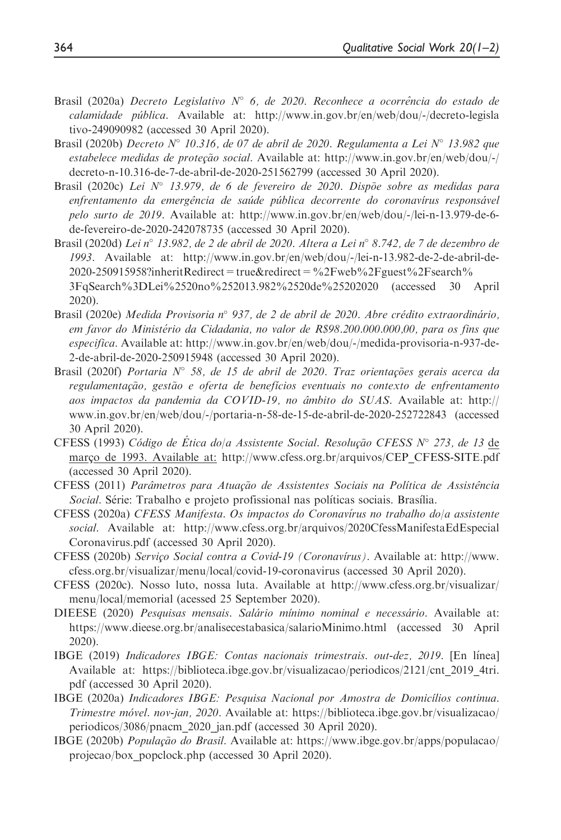- Brasil (2020a) Decreto Legislativo  $N^{\circ}$  6, de 2020. Reconhece a ocorrência do estado de calamidade publica. Available at: [http://www.in.gov.br/en/web/dou/-/decreto-legisla](http://www.in.gov.br/en/web/dou/-/decreto-legislativo-249090982) [tivo-249090982](http://www.in.gov.br/en/web/dou/-/decreto-legislativo-249090982) (accessed 30 April 2020).
- Brasil (2020b) Decreto  $N^{\circ}$  10.316, de 07 de abril de 2020. Regulamenta a Lei  $N^{\circ}$  13.982 que  $estableece$  medidas de proteção social. Available at: [http://www.in.gov.br/en/web/dou/-/](http://www.in.gov.br/en/web/dou/-/decreto-n-10.316-de-7-de-abril-de-2020-251562799) [decreto-n-10.316-de-7-de-abril-de-2020-251562799](http://www.in.gov.br/en/web/dou/-/decreto-n-10.316-de-7-de-abril-de-2020-251562799) (accessed 30 April 2020).
- Brasil (2020c) Lei N° 13.979, de 6 de fevereiro de 2020. Dispõe sobre as medidas para enfrentamento da emergência de saúde pública decorrente do coronavírus responsável pelo surto de 2019. Available at: [http://www.in.gov.br/en/web/dou/-/lei-n-13.979-de-6](http://www.in.gov.br/en/web/dou/-/lei-n-13.979-de-6-de-fevereiro-de-2020-242078735) [de-fevereiro-de-2020-242078735](http://www.in.gov.br/en/web/dou/-/lei-n-13.979-de-6-de-fevereiro-de-2020-242078735) (accessed 30 April 2020).
- Brasil (2020d) Lei n° 13.982, de 2 de abril de 2020. Altera a Lei n° 8.742, de 7 de dezembro de 1993. Available at: [http://www.in.gov.br/en/web/dou/-/lei-n-13.982-de-2-de-abril-de-](http://www.in.gov.br/en/web/dou/-/lei-n-13.982-de-2-de-abril-de-2020-250915958?inheritRedirect=true&redirect=%2Fweb%2Fguest%2Fsearch%3FqSearch%3DLei%2520no%252013.982%2520de%25202020) $2020-250915958$ ?inheritRedirect=true&redirect=%2Fweb%2Fguest%2Fsearch% [3FqSearch%3DLei%2520no%252013.982%2520de%25202020](http://www.in.gov.br/en/web/dou/-/lei-n-13.982-de-2-de-abril-de-2020-250915958?inheritRedirect=true&redirect=%2Fweb%2Fguest%2Fsearch%3FqSearch%3DLei%2520no%252013.982%2520de%25202020) (accessed 30 April 2020).
- Brasil (2020e) Medida Provisoria nº 937, de 2 de abril de 2020. Abre crédito extraordinário, em favor do Ministerio da Cidadania, no valor de R\$98.200.000.000,00, para os fins que especifica. Available at: [http://www.in.gov.br/en/web/dou/-/medida-provisoria-n-937-de-](http://www.in.gov.br/en/web/dou/-/medida-provisoria-n-937-de-2-de-abril-de-2020-250915948)[2-de-abril-de-2020-250915948](http://www.in.gov.br/en/web/dou/-/medida-provisoria-n-937-de-2-de-abril-de-2020-250915948) (accessed 30 April 2020).
- Brasil (2020f) Portaria  $N^{\circ}$  58, de 15 de abril de 2020. Traz orientações gerais acerca da regulamentação, gestão e oferta de benefícios eventuais no contexto de enfrentamento aos impactos da pandemia da COVID-19, no âmbito do SUAS. Available at: [http://](http://www.in.gov.br/en/web/dou/-/portaria-n-58-de-15-de-abril-de-2020-252722843) [www.in.gov.br/en/web/dou/-/portaria-n-58-de-15-de-abril-de-2020-252722843](http://www.in.gov.br/en/web/dou/-/portaria-n-58-de-15-de-abril-de-2020-252722843) (accessed 30 April 2020).
- CFESS (1993) Código de Ética do/a Assistente Social. Resolução CFESS N° 273, de 13 de março de 1993. Available at: [http://www.cfess.org.br/arquivos/CEP\\_CFESS-SITE.pdf](http://www.cfess.org.br/arquivos/CEP_CFESS-SITE.pdf) (accessed 30 April 2020).
- CFESS (2011) Parâmetros para Atuação de Assistentes Sociais na Política de Assistência Social. Série: Trabalho e projeto profissional nas políticas sociais. Brasília.
- CFESS (2020a) CFESS Manifesta. Os impactos do Coronavırus no trabalho do/a assistente social. Available at: [http://www.cfess.org.br/arquivos/2020CfessManifestaEdEspecial](http://www.cfess.org.br/arquivos/2020CfessManifestaEdEspecialCoronavirus.pdf) [Coronavirus.pdf](http://www.cfess.org.br/arquivos/2020CfessManifestaEdEspecialCoronavirus.pdf) (accessed 30 April 2020).
- CFESS (2020b) Serviço Social contra a Covid-19 (Coronavírus). Available at: [http://www.](http://www.cfess.org.br/visualizar/menu/local/covid-19-coronavirus) [cfess.org.br/visualizar/menu/local/covid-19-coronavirus](http://www.cfess.org.br/visualizar/menu/local/covid-19-coronavirus) (accessed 30 April 2020).
- CFESS (2020c). Nosso luto, nossa luta. Available at [http://www.cfess.org.br/visualizar/](http://www.cfess.org.br/visualizar/menu/local/memorial) [menu/local/memorial](http://www.cfess.org.br/visualizar/menu/local/memorial) (acessed 25 September 2020).
- DIEESE (2020) Pesquisas mensais. Salário mínimo nominal e necessário. Available at: <https://www.dieese.org.br/analisecestabasica/salarioMinimo.html> (accessed 30 April 2020).
- IBGE (2019) Indicadores IBGE: Contas nacionais trimestrais. out-dez, 2019. [En línea] Available at: [https://biblioteca.ibge.gov.br/visualizacao/periodicos/2121/cnt\\_2019\\_4tri.](https://biblioteca.ibge.gov.br/visualizacao/periodicos/2121/cnt_2019_4tri.pdf) [pdf](https://biblioteca.ibge.gov.br/visualizacao/periodicos/2121/cnt_2019_4tri.pdf) (accessed 30 April 2020).
- IBGE (2020a) Indicadores IBGE: Pesquisa Nacional por Amostra de Domicılios continua. Trimestre movel. nov-jan, 2020. Available at: [https://biblioteca.ibge.gov.br/visualizacao/](https://biblioteca.ibge.gov.br/visualizacao/periodicos/3086/pnacm_2020_jan.pdf) [periodicos/3086/pnacm\\_2020\\_jan.pdf](https://biblioteca.ibge.gov.br/visualizacao/periodicos/3086/pnacm_2020_jan.pdf) (accessed 30 April 2020).
- IBGE (2020b) *População do Brasil*. Available at: [https://www.ibge.gov.br/apps/populacao/](https://www.ibge.gov.br/apps/populacao/projecao/box_popclock.php) [projecao/box\\_popclock.php](https://www.ibge.gov.br/apps/populacao/projecao/box_popclock.php) (accessed 30 April 2020).